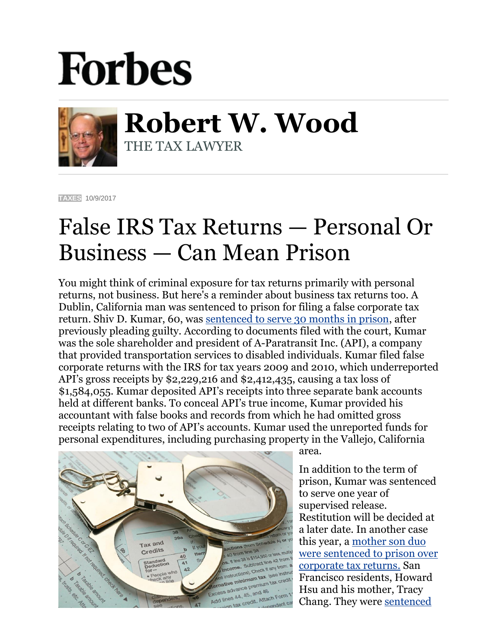## **Forbes**



**Robert W. Wood** THE TAX LAWYER

**[TAXES](https://www.forbes.com/taxes)** 10/9/2017

## False IRS Tax Returns — Personal Or Business — Can Mean Prison

You might think of criminal exposure for tax returns primarily with personal returns, not business. But here's a reminder about business tax returns too. A Dublin, California man was sentenced to prison for filing a false corporate tax return. Shiv D. Kumar, 60, was [sentenced to serve 30 months in prison,](https://www.justice.gov/opa/pr/california-man-sentenced-prison-filing-false-corporate-return) after previously pleading guilty. According to documents filed with the court, Kumar was the sole shareholder and president of A-Paratransit Inc. (API), a company that provided transportation services to disabled individuals. Kumar filed false corporate returns with the IRS for tax years 2009 and 2010, which underreported API's gross receipts by \$2,229,216 and \$2,412,435, causing a tax loss of \$1,584,055. Kumar deposited API's receipts into three separate bank accounts held at different banks. To conceal API's true income, Kumar provided his accountant with false books and records from which he had omitted gross receipts relating to two of API's accounts. Kumar used the unreported funds for personal expenditures, including purchasing property in the Vallejo, California



area.

In addition to the term of prison, Kumar was sentenced to serve one year of supervised release. Restitution will be decided at a later date. In another case this year, a [mother son duo](https://www.google.com/url?sa=t&rct=j&q=&esrc=s&source=web&cd=1&cad=rja&uact=8&ved=0ahUKEwjfnK6wyuPWAhVH04MKHTOnDM4QFggmMAA&url=https%3A%2F%2Fwww.forbes.com%2Fsites%2Frobertwood%2F2017%2F05%2F31%2Fmother-son-duo-sentenced-to-prison-over-corporate-income-tax-returns%2F&usg=AOvVaw1eBXPNMe5c05U9-TTbPUeh)  [were sentenced to prison over](https://www.google.com/url?sa=t&rct=j&q=&esrc=s&source=web&cd=1&cad=rja&uact=8&ved=0ahUKEwjfnK6wyuPWAhVH04MKHTOnDM4QFggmMAA&url=https%3A%2F%2Fwww.forbes.com%2Fsites%2Frobertwood%2F2017%2F05%2F31%2Fmother-son-duo-sentenced-to-prison-over-corporate-income-tax-returns%2F&usg=AOvVaw1eBXPNMe5c05U9-TTbPUeh)  [corporate tax returns.](https://www.google.com/url?sa=t&rct=j&q=&esrc=s&source=web&cd=1&cad=rja&uact=8&ved=0ahUKEwjfnK6wyuPWAhVH04MKHTOnDM4QFggmMAA&url=https%3A%2F%2Fwww.forbes.com%2Fsites%2Frobertwood%2F2017%2F05%2F31%2Fmother-son-duo-sentenced-to-prison-over-corporate-income-tax-returns%2F&usg=AOvVaw1eBXPNMe5c05U9-TTbPUeh) San Francisco residents, Howard Hsu and his mother, Tracy Chang. They were [sentenced](https://www.justice.gov/opa/pr/california-mother-and-son-sentenced-prison-fraudulent-corporate-tax-returns)